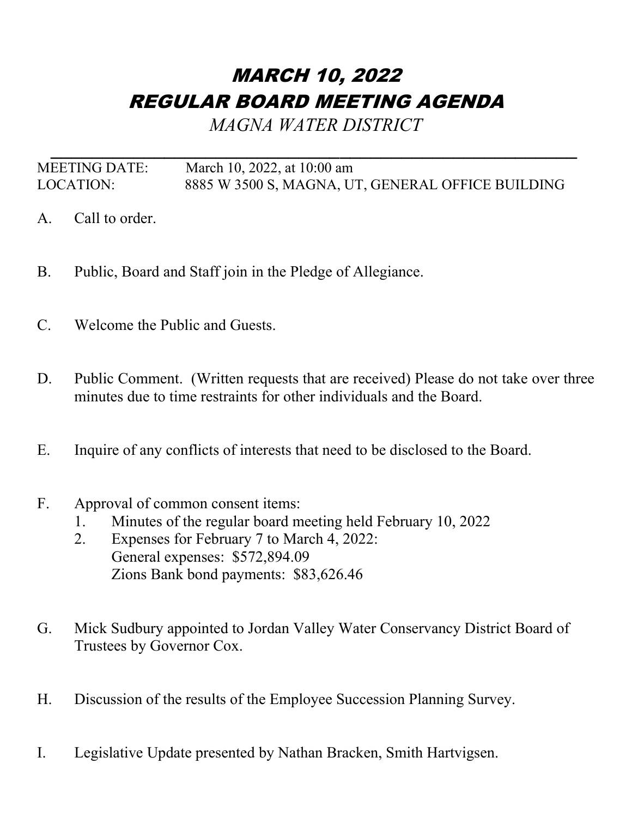## MARCH 10, 2022 REGULAR BOARD MEETING AGENDA

*MAGNA WATER DISTRICT*

*\_\_\_\_\_\_\_\_\_\_\_\_\_\_\_\_\_\_\_\_\_\_\_\_\_\_\_\_\_\_\_\_\_\_\_\_\_\_\_\_\_\_\_\_\_\_\_\_\_\_\_* MEETING DATE: March 10, 2022, at 10:00 am LOCATION: 8885 W 3500 S, MAGNA, UT, GENERAL OFFICE BUILDING

- A. Call to order.
- B. Public, Board and Staff join in the Pledge of Allegiance.
- C. Welcome the Public and Guests.
- D. Public Comment. (Written requests that are received) Please do not take over three minutes due to time restraints for other individuals and the Board.
- E. Inquire of any conflicts of interests that need to be disclosed to the Board.
- F. Approval of common consent items:
	- 1. Minutes of the regular board meeting held February 10, 2022
	- 2. Expenses for February 7 to March 4, 2022: General expenses: \$572,894.09 Zions Bank bond payments: \$83,626.46
- G. Mick Sudbury appointed to Jordan Valley Water Conservancy District Board of Trustees by Governor Cox.
- H. Discussion of the results of the Employee Succession Planning Survey.
- I. Legislative Update presented by Nathan Bracken, Smith Hartvigsen.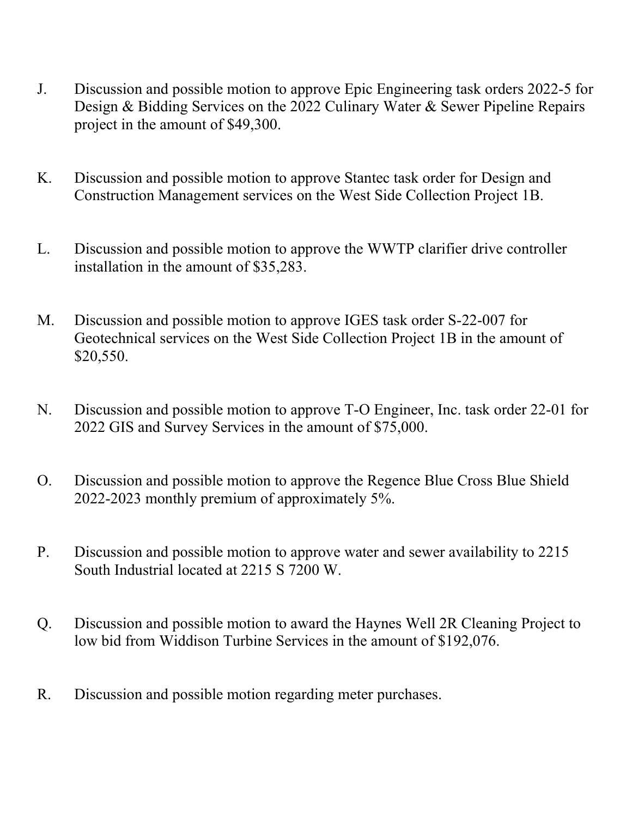- J. Discussion and possible motion to approve Epic Engineering task orders 2022-5 for Design & Bidding Services on the 2022 Culinary Water & Sewer Pipeline Repairs project in the amount of \$49,300.
- K. Discussion and possible motion to approve Stantec task order for Design and Construction Management services on the West Side Collection Project 1B.
- L. Discussion and possible motion to approve the WWTP clarifier drive controller installation in the amount of \$35,283.
- M. Discussion and possible motion to approve IGES task order S-22-007 for Geotechnical services on the West Side Collection Project 1B in the amount of \$20,550.
- N. Discussion and possible motion to approve T-O Engineer, Inc. task order 22-01 for 2022 GIS and Survey Services in the amount of \$75,000.
- O. Discussion and possible motion to approve the Regence Blue Cross Blue Shield 2022-2023 monthly premium of approximately 5%.
- P. Discussion and possible motion to approve water and sewer availability to 2215 South Industrial located at 2215 S 7200 W.
- Q. Discussion and possible motion to award the Haynes Well 2R Cleaning Project to low bid from Widdison Turbine Services in the amount of \$192,076.
- R. Discussion and possible motion regarding meter purchases.